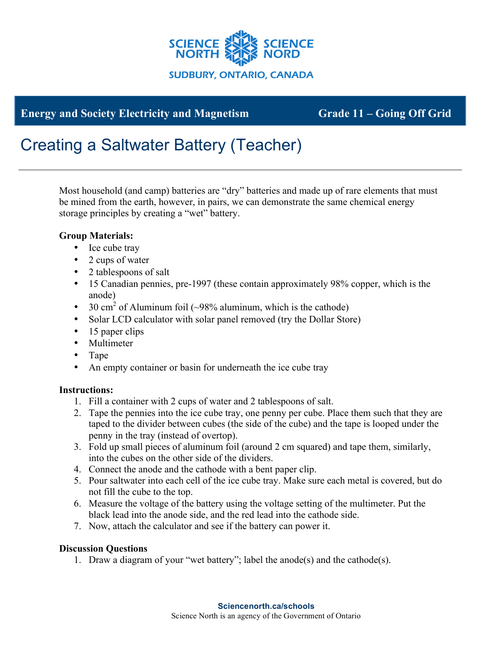

**Energy and Society Electricity and Magnetism Grade 11 – Going Off Grid** 

## Creating a Saltwater Battery (Teacher)

Most household (and camp) batteries are "dry" batteries and made up of rare elements that must be mined from the earth, however, in pairs, we can demonstrate the same chemical energy storage principles by creating a "wet" battery.

## **Group Materials:**

- Ice cube tray
- 2 cups of water
- 2 tablespoons of salt
- 15 Canadian pennies, pre-1997 (these contain approximately 98% copper, which is the anode)
- 30 cm<sup>2</sup> of Aluminum foil ( $\sim$ 98% aluminum, which is the cathode)
- Solar LCD calculator with solar panel removed (try the Dollar Store)
- 15 paper clips
- Multimeter
- Tape
- An empty container or basin for underneath the ice cube tray

## **Instructions:**

- 1. Fill a container with 2 cups of water and 2 tablespoons of salt.
- 2. Tape the pennies into the ice cube tray, one penny per cube. Place them such that they are taped to the divider between cubes (the side of the cube) and the tape is looped under the penny in the tray (instead of overtop).
- 3. Fold up small pieces of aluminum foil (around 2 cm squared) and tape them, similarly, into the cubes on the other side of the dividers.
- 4. Connect the anode and the cathode with a bent paper clip.
- 5. Pour saltwater into each cell of the ice cube tray. Make sure each metal is covered, but do not fill the cube to the top.
- 6. Measure the voltage of the battery using the voltage setting of the multimeter. Put the black lead into the anode side, and the red lead into the cathode side.
- 7. Now, attach the calculator and see if the battery can power it.

## **Discussion Questions**

1. Draw a diagram of your "wet battery"; label the anode(s) and the cathode(s).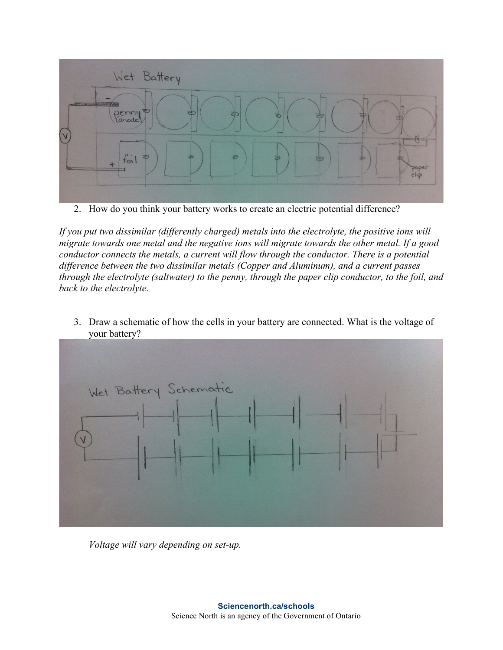

2. How do you think your battery works to create an electric potential difference?

*If you put two dissimilar (differently charged) metals into the electrolyte, the positive ions will migrate towards one metal and the negative ions will migrate towards the other metal. If a good conductor connects the metals, a current will flow through the conductor. There is a potential difference between the two dissimilar metals (Copper and Aluminum), and a current passes through the electrolyte (saltwater) to the penny, through the paper clip conductor, to the foil, and back to the electrolyte.*



3. Draw a schematic of how the cells in your battery are connected. What is the voltage of your battery?

*Voltage will vary depending on set-up.*